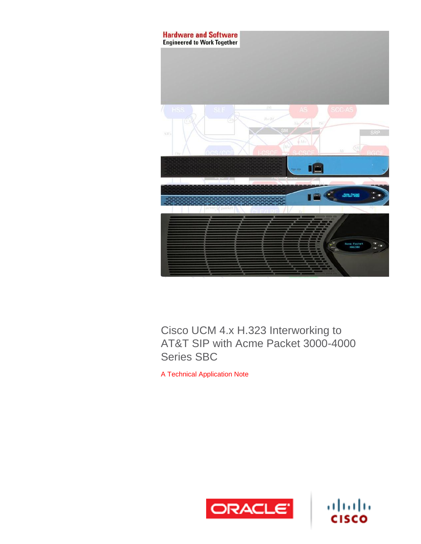

Cisco UCM 4.x H.323 Interworking to AT&T SIP with Acme Packet 3000-4000 Series SBC

A Technical Application Note



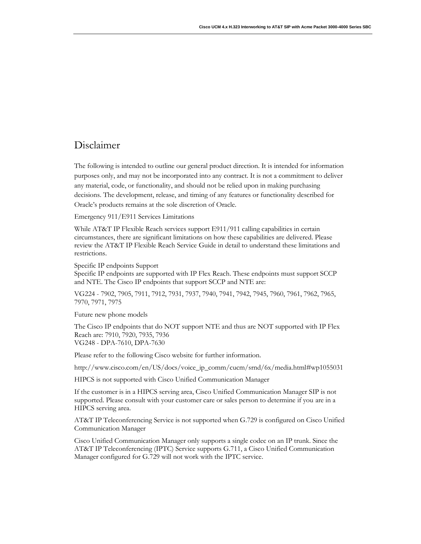## Disclaimer

The following is intended to outline our general product direction. It is intended for information purposes only, and may not be incorporated into any contract. It is not a commitment to deliver any material, code, or functionality, and should not be relied upon in making purchasing decisions. The development, release, and timing of any features or functionality described for Oracle's products remains at the sole discretion of Oracle.

Emergency 911/E911 Services Limitations

While AT&T IP Flexible Reach services support E911/911 calling capabilities in certain circumstances, there are significant limitations on how these capabilities are delivered. Please review the AT&T IP Flexible Reach Service Guide in detail to understand these limitations and restrictions.

Specific IP endpoints Support

Specific IP endpoints are supported with IP Flex Reach. These endpoints must support SCCP and NTE. The Cisco IP endpoints that support SCCP and NTE are:

VG224 - 7902, 7905, 7911, 7912, 7931, 7937, 7940, 7941, 7942, 7945, 7960, 7961, 7962, 7965, 7970, 7971, 7975

Future new phone models

The Cisco IP endpoints that do NOT support NTE and thus are NOT supported with IP Flex Reach are: 7910, 7920, 7935, 7936 VG248 - DPA-7610, DPA-7630

Please refer to the following Cisco website for further information.

[http://www.cisco.com/en/US/docs/voice\\_ip\\_comm/cucm/srnd/6x/media.html#wp1055031](http://www.cisco.com/en/US/docs/voice_ip_comm/cucm/srnd/6x/media.html#wp1055031)

HIPCS is not supported with Cisco Unified Communication Manager

If the customer is in a HIPCS serving area, Cisco Unified Communication Manager SIP is not supported. Please consult with your customer care or sales person to determine if you are in a HIPCS serving area.

AT&T IP Teleconferencing Service is not supported when G.729 is configured on Cisco Unified Communication Manager

Cisco Unified Communication Manager only supports a single codec on an IP trunk. Since the AT&T IP Teleconferencing (IPTC) Service supports G.711, a Cisco Unified Communication Manager configured for G.729 will not work with the IPTC service.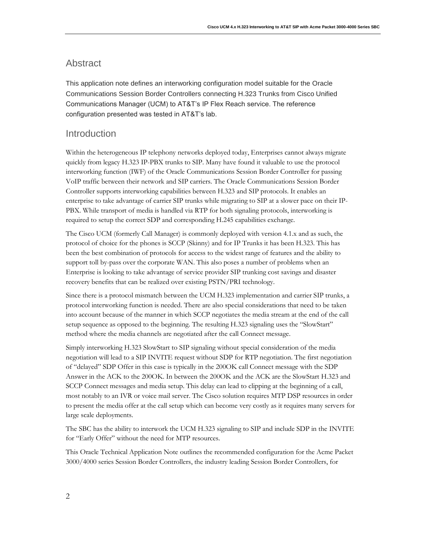#### <span id="page-3-0"></span>Abstract

This application note defines an interworking configuration model suitable for the Oracle Communications Session Border Controllers connecting H.323 Trunks from Cisco Unified Communications Manager (UCM) to AT&T's IP Flex Reach service. The reference configuration presented was tested in AT&T's lab.

#### <span id="page-3-1"></span>Introduction

Within the heterogeneous IP telephony networks deployed today, Enterprises cannot always migrate quickly from legacy H.323 IP-PBX trunks to SIP. Many have found it valuable to use the protocol interworking function (IWF) of the Oracle Communications Session Border Controller for passing VoIP traffic between their network and SIP carriers. The Oracle Communications Session Border Controller supports interworking capabilities between H.323 and SIP protocols. It enables an enterprise to take advantage of carrier SIP trunks while migrating to SIP at a slower pace on their IP-PBX. While transport of media is handled via RTP for both signaling protocols, interworking is required to setup the correct SDP and corresponding H.245 capabilities exchange.

The Cisco UCM (formerly Call Manager) is commonly deployed with version 4.1.x and as such, the protocol of choice for the phones is SCCP (Skinny) and for IP Trunks it has been H.323. This has been the best combination of protocols for access to the widest range of features and the ability to support toll by-pass over the corporate WAN. This also poses a number of problems when an Enterprise is looking to take advantage of service provider SIP trunking cost savings and disaster recovery benefits that can be realized over existing PSTN/PRI technology.

Since there is a protocol mismatch between the UCM H.323 implementation and carrier SIP trunks, a protocol interworking function is needed. There are also special considerations that need to be taken into account because of the manner in which SCCP negotiates the media stream at the end of the call setup sequence as opposed to the beginning. The resulting H.323 signaling uses the "SlowStart" method where the media channels are negotiated after the call Connect message.

Simply interworking H.323 SlowStart to SIP signaling without special consideration of the media negotiation will lead to a SIP INVITE request without SDP for RTP negotiation. The first negotiation of "delayed" SDP Offer in this case is typically in the 200OK call Connect message with the SDP Answer in the ACK to the 200OK. In between the 200OK and the ACK are the SlowStart H.323 and SCCP Connect messages and media setup. This delay can lead to clipping at the beginning of a call, most notably to an IVR or voice mail server. The Cisco solution requires MTP DSP resources in order to present the media offer at the call setup which can become very costly as it requires many servers for large scale deployments.

The SBC has the ability to interwork the UCM H.323 signaling to SIP and include SDP in the INVITE for "Early Offer" without the need for MTP resources.

This Oracle Technical Application Note outlines the recommended configuration for the Acme Packet 3000/4000 series Session Border Controllers, the industry leading Session Border Controllers, for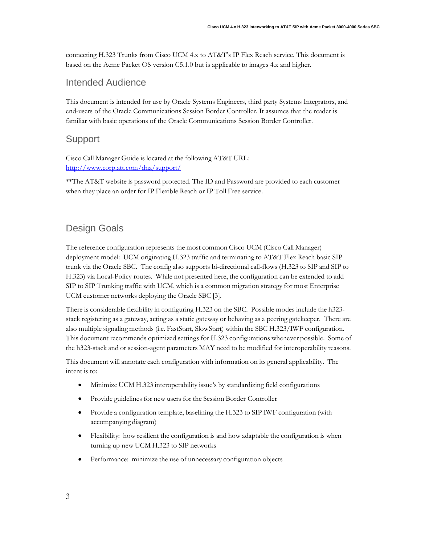connecting H.323 Trunks from Cisco UCM 4.x to AT&T's IP Flex Reach service. This document is based on the Acme Packet OS version C5.1.0 but is applicable to images 4.x and higher.

#### <span id="page-4-0"></span>Intended Audience

This document is intended for use by Oracle Systems Engineers, third party Systems Integrators, and end-users of the Oracle Communications Session Border Controller. It assumes that the reader is familiar with basic operations of the Oracle Communications Session Border Controller.

#### <span id="page-4-1"></span>Support

Cisco Call Manager Guide is located at the following AT&T URL: <http://www.corp.att.com/dna/support/>

<span id="page-4-2"></span>\*\*The AT&T website is password protected. The ID and Password are provided to each customer when they place an order for IP Flexible Reach or IP Toll Free service.

### Design Goals

The reference configuration represents the most common Cisco UCM (Cisco Call Manager) deployment model: UCM originating H.323 traffic and terminating to AT&T Flex Reach basic SIP trunk via the Oracle SBC. The config also supports bi-directional call-flows (H.323 to SIP and SIP to H.323) via Local-Policy routes. While not presented here, the configuration can be extended to add SIP to SIP Trunking traffic with UCM, which is a common migration strategy for most Enterprise UCM customer networks deploying the Oracle SBC [3].

There is considerable flexibility in configuring H.323 on the SBC. Possible modes include the h323 stack registering as a gateway, acting as a static gateway or behaving as a peering gatekeeper. There are also multiple signaling methods (i.e. FastStart, SlowStart) within the SBC H.323/IWF configuration. This document recommends optimized settings for H.323 configurations whenever possible. Some of the h323-stack and or session-agent parameters MAY need to be modified for interoperability reasons.

This document will annotate each configuration with information on its general applicability. The intent is to:

- Minimize UCM H.323 interoperability issue's by standardizing field configurations
- Provide guidelines for new users for the Session Border Controller
- Provide a configuration template, baselining the H.323 to SIP IWF configuration (with accompanying diagram)
- Flexibility: how resilient the configuration is and how adaptable the configuration is when turning up new UCM H.323 to SIP networks
- Performance: minimize the use of unnecessary configuration objects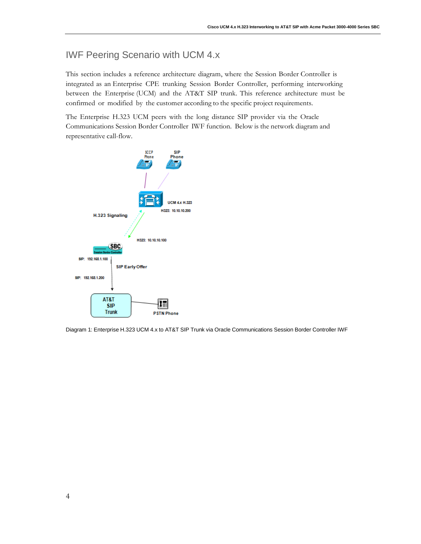## <span id="page-5-0"></span>IWF Peering Scenario with UCM 4.x

This section includes a reference architecture diagram, where the Session Border Controller is integrated as an Enterprise CPE trunking Session Border Controller, performing interworking between the Enterprise (UCM) and the AT&T SIP trunk. This reference architecture must be confirmed or modified by the customer according to the specific project requirements.

The Enterprise H.323 UCM peers with the long distance SIP provider via the Oracle Communications Session Border Controller IWF function. Below is the network diagram and representative call-flow.



Diagram 1: Enterprise H.323 UCM 4.x to AT&T SIP Trunk via Oracle Communications Session Border Controller IWF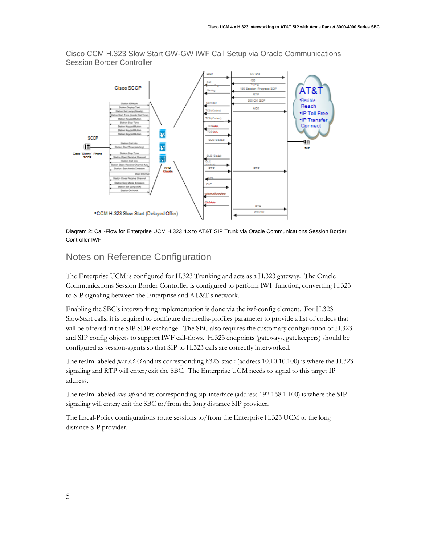

Cisco CCM H.323 Slow Start GW-GW IWF Call Setup via Oracle Communications Session Border Controller

Diagram 2: Call-Flow for Enterprise UCM H.323 4.x to AT&T SIP Trunk via Oracle Communications Session Border Controller IWF

## <span id="page-6-0"></span>Notes on Reference Configuration

The Enterprise UCM is configured for H.323 Trunking and acts as a H.323 gateway. The Oracle Communications Session Border Controller is configured to perform IWF function, converting H.323 to SIP signaling between the Enterprise and AT&T's network.

Enabling the SBC's interworking implementation is done via the iwf-config element. For H.323 SlowStart calls, it is required to configure the media-profiles parameter to provide a list of codecs that will be offered in the SIP SDP exchange. The SBC also requires the customary configuration of H.323 and SIP config objects to support IWF call-flows. H.323 endpoints (gateways, gatekeepers) should be configured as session-agents so that SIP to H.323 calls are correctly interworked.

The realm labeled *peer-h323* and its corresponding h323-stack (address 10.10.10.100) is where the H.323 signaling and RTP will enter/exit the SBC. The Enterprise UCM needs to signal to this target IP address.

The realm labeled *core-sip* and its corresponding sip-interface (address 192.168.1.100) is where the SIP signaling will enter/exit the SBC to/from the long distance SIP provider.

The Local-Policy configurations route sessions to/from the Enterprise H.323 UCM to the long distance SIP provider.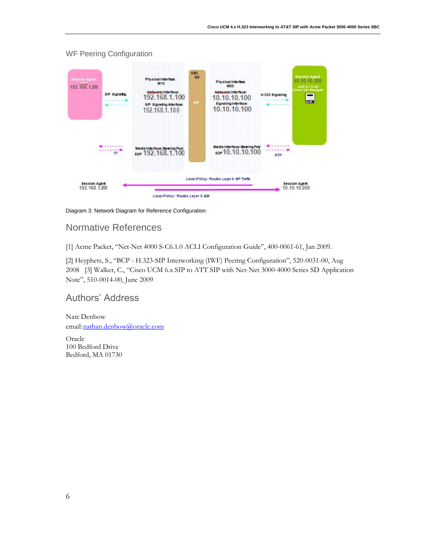

#### WF Peering Configuration

Diagram 3: Network Diagram for Reference Configuration

## <span id="page-7-0"></span>Normative References

[1] Acme Packet, "Net-Net 4000 S-C6.1.0 ACLI Configuration Guide", 400-0061-61, Jan 2009.

[2] Heyphets, S., "BCP - H.323-SIP Interworking (IWF) Peering Configuration", 520-0031-00, Aug 2008 [3] Walker, C., "Cisco UCM 6.x SIP to ATT SIP with Net-Net 3000-4000 Series SD Application Note", 510-0014-00, June 2009

## <span id="page-7-1"></span>Authors' Address

Nate Denbow email: nathan.denbow@oracle.com

<span id="page-7-2"></span>Oracle 100 Bedford Drive Bedford, MA 01730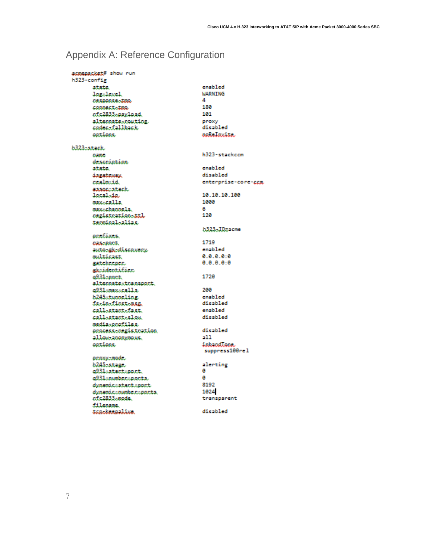# <span id="page-8-0"></span>Appendix A: Reference Configuration

| asmenacket# show run |                     |
|----------------------|---------------------|
|                      |                     |
| h323-config          |                     |
| state.               | enabled             |
| log.level            | <b>WARNING</b>      |
| CEADORAC-ARQ.        | Δ                   |
| connectito           | 180                 |
| ef.c2833.saavload.   | 101                 |
| alternate-routing    | proxy               |
| codec=fallback       | disabled            |
| options.             | noReInvite.         |
|                      |                     |
| h323-stack.          |                     |
| <b>bame</b>          | h323-stackccm       |
| description          |                     |
| state.               | enabled             |
| iseatomax            | disabled            |
| cealm-id.            | enterprise-core-ccm |
|                      |                     |
| associstack.         | 10.10.10.100        |
| localsin             |                     |
| maxicalls.           | 1000                |
| max-channels.        | 6                   |
| cegistration-ttl     | 120                 |
| terminal-alias.      |                     |
|                      | b323-ID=acme        |
| prefixes.            |                     |
| <b>CAA-ROCK</b>      | 1719                |
| autosskidiscovery    | enabled             |
| multicast.           | 0.0.0.0.0           |
| satekeenen.          | 0.0.0.0.0           |
| aksidentifier        |                     |
| a931-poet.           | 1720                |
| altecnatestcansport. |                     |
| a931-max-calls.      | 200                 |
| b245stunneling       | enabled             |
| facionficatouse.     | disabled            |
|                      | enabled             |
| callostactofast.     |                     |
| callostactoslow.     | disabled            |
| media:noofiles       |                     |
| process-registration | disabled            |
| allow:anonymous.     | -11                 |
| options.             | inhandLone.         |
|                      | suppress100rel      |
| proxy.mode.          |                     |
| b245-stage.          | alerting            |
| a931.stact.poct.     | ø                   |
| a931-number-parts.   | ø                   |
| dynamic.stact.port   | 8192                |
| dynamic.number.ports | 1024                |
| rfc2833-mode         | transparent         |
| filennme.            |                     |
| trackreamline        | disabled            |
|                      |                     |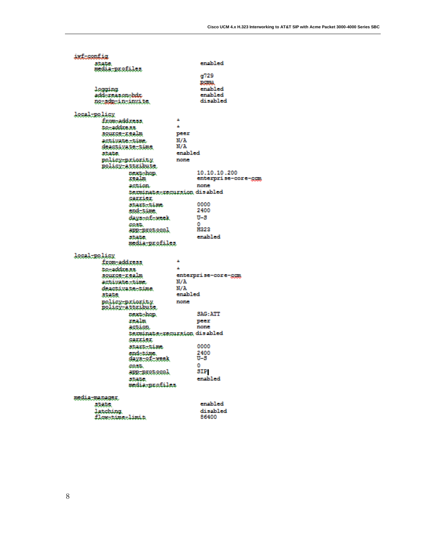ivf-config state<br>ædia:profiles enabled g729 **BSBN** logging enabled enabled add-reason-bdx disabled no-admin-invite. local-policy from-address  $\mathbf{A}$  $\mathbf{A}$ to-address. source: xealm peer .<br>N/A activatestime  $N/A$ deastivate\_time enabled state. policy-priority none policy.attribute. next-hop.<br>Kealm 10.10.10.200 enterprise-core-ggm action none texminate=recursion disabled sannien 0000 startatim. end-time 2400  $U-S$ days of seek  $\Omega$ cost. H222 app-protocol enabled state. media-profiles. local:policy  $\mathbf{A}$ from address. tonaddxe.ss  $\mathbf{A}$ source-realm enterprise-core-ggm  $N/A$ activatestime deactivate-time N/A enabled atata. policy-priority<br>Rolisy-attribute none next-hop. SAG: ATT ranlın peer action. none terminate-recursion disabled *sammien* startatima 0000 endotime.<br>skyaosformak 2400  $\overline{v}$ -s  $\sim$ cost. SIP app-protocol state. enabled media-profiles. media:manager, enabled atata. disabled latching<br>flox-time-limit

86400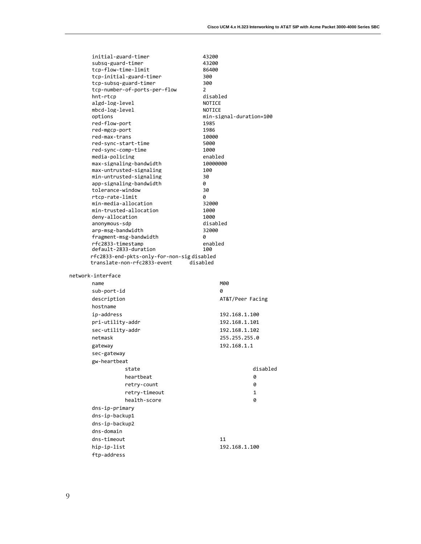| initial-guard-timer                                                      | 43200                           |
|--------------------------------------------------------------------------|---------------------------------|
| subsq-guard-timer                                                        | 43200                           |
| tcp-flow-time-limit                                                      | 86400                           |
| tcp-initial-guard-timer                                                  | 300                             |
| tcp-subsq-guard-timer                                                    | 300                             |
| tcp-number-of-ports-per-flow                                             | 2                               |
| hnt-rtcp                                                                 | disabled                        |
| algd-log-level                                                           | NOTICE                          |
| mbcd-log-level                                                           | NOTICE                          |
| options<br>red-flow-port                                                 | min-signal-duration=100<br>1985 |
| red-mgcp-port                                                            | 1986                            |
| red-max-trans                                                            | 10000                           |
| red-sync-start-time                                                      | 5000                            |
| red-sync-comp-time                                                       | 1000                            |
| media-policing                                                           | enabled                         |
| max-signaling-bandwidth                                                  | 10000000                        |
| max-untrusted-signaling                                                  | 100                             |
| min-untrusted-signaling                                                  | 30                              |
| app-signaling-bandwidth                                                  | 0                               |
| tolerance-window                                                         | 30                              |
| rtcp-rate-limit                                                          | 0                               |
| min-media-allocation                                                     | 32000                           |
| min-trusted-allocation                                                   | 1000                            |
| denv-allocation                                                          | 1000                            |
| anonymous-sdp                                                            | disabled                        |
| arp-msg-bandwidth                                                        | 32000<br>0                      |
| fragment-msg-bandwidth<br>rfc2833-timestamp                              | enabled                         |
| default-2833-duration                                                    | 100                             |
|                                                                          |                                 |
|                                                                          |                                 |
| rfc2833-end-pkts-only-for-non-sigdisabled<br>translate-non-rfc2833-event | disabled                        |
|                                                                          |                                 |
| network-interface                                                        |                                 |
| name                                                                     | M00                             |
| sub-port-id                                                              | 0                               |
| description                                                              | AT&T/Peer Facing                |
| hostname                                                                 |                                 |
| ip-address                                                               | 192.168.1.100                   |
|                                                                          | 192.168.1.101                   |
| pri-utility-addr                                                         |                                 |
| sec-utility-addr                                                         | 192.168.1.102                   |
| netmask                                                                  | 255.255.255.0                   |
| gateway                                                                  | 192.168.1.1                     |
| sec-gateway                                                              |                                 |
| gw-heartbeat                                                             |                                 |
| state                                                                    | disabled                        |
| heartbeat                                                                | 0                               |
| retry-count                                                              | 0                               |
| retry-timeout                                                            | 1                               |
| health-score                                                             | 0                               |
|                                                                          |                                 |
| dns-ip-primary                                                           |                                 |
| dns-ip-backup1                                                           |                                 |
| dns-ip-backup2                                                           |                                 |
| dns-domain                                                               |                                 |
| dns-timeout                                                              | 11                              |
| hip-ip-list<br>ftp-address                                               | 192.168.1.100                   |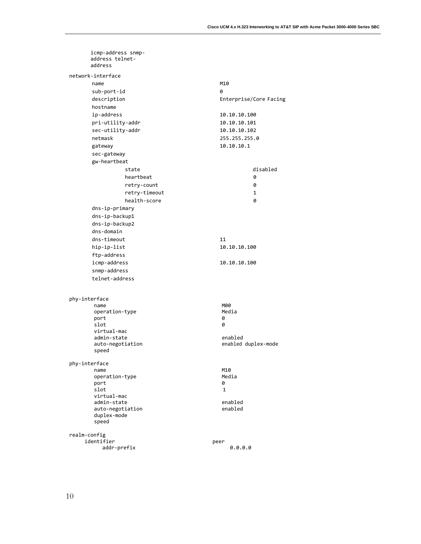| icmp-address snmp-<br>address telnet-<br>address |                        |
|--------------------------------------------------|------------------------|
| network-interface                                |                        |
| name                                             | M10                    |
| sub-port-id                                      | 0                      |
| description                                      | Enterprise/Core Facing |
| hostname                                         |                        |
| ip-address                                       | 10.10.10.100           |
| pri-utility-addr                                 | 10.10.10.101           |
| sec-utility-addr                                 | 10.10.10.102           |
| netmask                                          | 255.255.255.0          |
| gateway                                          | 10.10.10.1             |
| sec-gateway                                      |                        |
| gw-heartbeat                                     |                        |
| state                                            | disabled               |
| heartbeat                                        | 0                      |
| retry-count                                      | 0                      |
| retry-timeout                                    | 1                      |
| health-score                                     | 0                      |
| dns-ip-primary                                   |                        |
| dns-ip-backup1                                   |                        |
| dns-ip-backup2                                   |                        |
| dns-domain                                       |                        |
| dns-timeout                                      | 11                     |
| hip-ip-list                                      | 10.10.10.100           |
| ftp-address                                      |                        |
| icmp-address                                     | 10.10.10.100           |
| snmp-address                                     |                        |
| telnet-address                                   |                        |
|                                                  |                        |
| phy-interface                                    |                        |
| name                                             | M00                    |
| operation-type                                   | Media                  |
| port                                             | 0                      |
| slot<br>virtual-mac                              | 0                      |
| admin-state                                      | enabled                |
| auto-negotiation                                 | enabled duplex-mode    |
| speed                                            |                        |
| phy-interface                                    |                        |
| name                                             | M10                    |
| operation-type                                   | Media                  |
| port                                             | 0                      |
| slot<br>virtual-mac                              | 1                      |
| admin-state                                      | enabled                |
| auto-negotiation                                 | enabled                |
| duplex-mode                                      |                        |
| speed                                            |                        |
| realm-config                                     |                        |
| identifier                                       | peer                   |
| addr-prefix                                      | 0.0.0.0                |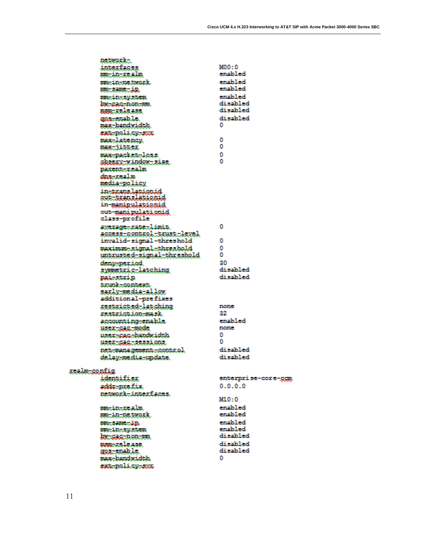|              | network                    |                     |
|--------------|----------------------------|---------------------|
|              |                            |                     |
|              | interfaces                 | MDD-0               |
|              | mm-in-realm                | enabled             |
|              | ma-in-network.             | enabled             |
|              | AM SUR LEE                 | enabled.            |
|              | ma-in-sustem               | enabled             |
|              | be-cac-non-mi              | disabled            |
|              |                            | disabled            |
|              | asa release                |                     |
|              | goarenable.                | disabled            |
|              | max-bandwidth.             | n                   |
|              | ext-nolicu-suc             |                     |
|              | max-latency.               | o                   |
|              |                            | n                   |
|              | mus jittes.                |                     |
|              | macpacketeloss             | n                   |
|              | obsexu-window-size.        | n                   |
|              | parent-realm               |                     |
|              | dua realm                  |                     |
|              |                            |                     |
|              | media-policy               |                     |
|              | in-translationid           |                     |
|              | <u>out translationid</u>   |                     |
|              | in-maninulationid          |                     |
|              | out-manipulationid         |                     |
|              |                            |                     |
|              | class-profile              |                     |
|              | average-rate-limit.        | m.                  |
|              | access-control-trust-level |                     |
|              | invalid-signal-threshold   | o                   |
|              | maximum-signal-threshold   | n                   |
|              |                            | n                   |
|              | untrusted-signal-threshold |                     |
|              | deny-period,               | 280                 |
|              | symetric-latching          | di sabled           |
|              | paisstrin                  | di sabled           |
|              |                            |                     |
|              | tmmk-context.              |                     |
|              | sarly mediatellow          |                     |
|              | additional-prefixes        |                     |
|              | restricted-latching        | mome                |
|              | restriction-mask           | 27                  |
|              |                            | enabled             |
|              | accounting-enable.         |                     |
|              | <u> USEE SIS MODE</u>      | 2000000             |
|              | user-cac-handwidth.        | n                   |
|              | USEK-GRETSESSLODS.         | n                   |
|              | net management control.    | disabled            |
|              |                            |                     |
|              | delay-media-undate.        | di sabled           |
|              |                            |                     |
| scalm sontig |                            |                     |
|              | identifier                 | enterprise-core-gem |
|              | addr-prefix                | 0.0.0.0             |
|              |                            |                     |
|              | network-interfaces.        | M10:0               |
|              |                            |                     |
|              | mm-in-realm                | enabled             |
|              | nm-in-natwork.             | enabled             |
|              | masanasip.                 | enabled             |
|              |                            | enabled.            |
|              | ma.in.system               | disabled            |
|              | <b>AM: SAC: 0.00: 991</b>  |                     |
|              | ammielease.                | disabled            |
|              | gos-enable.                | di sabled           |
|              | max-handwidth.             | m.                  |
|              |                            |                     |
|              | extendicy-sur              |                     |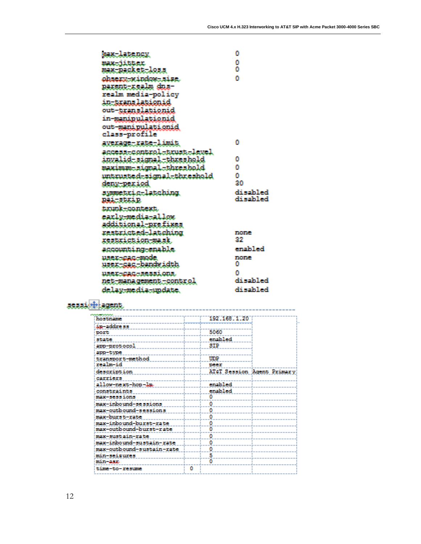| one latency,                     | n           |
|----------------------------------|-------------|
| ne natatek                       | D           |
| max-packet-loss                  | n           |
| observenindomeise.               | n           |
| parent-realm dus-                |             |
| realm media-policy               |             |
| 10-55303.La5100.10               |             |
| out-translationid                |             |
| in- <b>manipulati</b> onid       |             |
| out manipulationid               |             |
| class-profile                    |             |
| avezage-xate-limit               | n           |
| access=control=txust=level       |             |
| <u>invalid-signal-threshold</u>  | D           |
| mximm.signal.threshold           | n           |
| untrusted-signal-threshold       | n           |
| deny period                      | 30          |
| symmetxig-latching               | disabled    |
| naltstald.                       | di sahiled  |
| trunk-context.                   |             |
| early-media-allow                |             |
| additional-prefixes              |             |
| restricted-latching              | n na an mar |
| Kestsickion pris                 | 27          |
| accounting-enable                | enabled     |
| ಬಿಸಿಕೊಂಡಿತ್ತಿದ್ದು ಕಾಂದೆಕ         | n an an A   |
| <u>usex-sac-bandvidth</u>        | n           |
| <u>used-gro-sessions.</u>        | m           |
| <u>DER WADA GENEDE TOORES OL</u> | disabled    |
| delav-media-undate               | disabled    |

## arasint agent.

| hostnam                   |   | 192 168 1 20 |                            |
|---------------------------|---|--------------|----------------------------|
| áp-address                |   |              |                            |
| port                      |   | 5060         |                            |
| state                     |   | enabled      |                            |
| app-protocol              |   | SIP          |                            |
|                           |   |              |                            |
| app-type                  |   |              |                            |
| transport-method          |   | UDP          |                            |
| realm-id                  |   | peer         |                            |
| description               |   |              | AT&T Session Agent Primary |
| carriers                  |   |              |                            |
| allow-next-hop-lp.        |   | enabled      |                            |
| constraints               |   | enabled      |                            |
| max-sessions              |   |              |                            |
| max-inbound-sessions      |   | o            |                            |
| max-outbound-sessions     |   |              |                            |
| max-burst-rate            |   | ٥            |                            |
| max-inbound-burst-rate    |   |              |                            |
| max-outbound-burst-rate   |   |              |                            |
| max-sustain-rate          |   |              |                            |
| max-inbound-sustain-rate  |   | ٥            |                            |
| max-outbound-sustain-rate |   |              |                            |
| min-seizures              |   | 5            |                            |
| min-asc                   |   |              |                            |
|                           |   |              |                            |
| time-to-resume            | n |              |                            |
|                           |   |              |                            |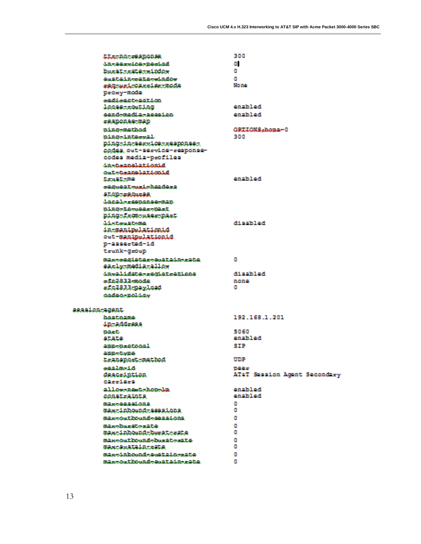| Lizzald reasones                  | 346                          |
|-----------------------------------|------------------------------|
| <u> పనిజయవాయనిదించినించినిటీ</u>  | <b>OL</b>                    |
| <b>Durat-rata-rindom</b>          | a.                           |
| emetain-rate-minder               | o                            |
| eggeesicassiestmade               | <b>Network</b>               |
| proxy mode                        |                              |
| <u>oediseet-aetien</u>            |                              |
| logae-routing                     | analyl ad                    |
| condomadia-coocian                | contribution!                |
| =0.0000.00:0000                   |                              |
| aing mathod                       | <b>OPTIONS-home-0</b>        |
| nimo-interval.                    | 3400                         |
| ning-in-service-response-         |                              |
| codes out-service-response-       |                              |
| codes media-profiles              |                              |
| <b>da-taunglationid</b>           |                              |
| out-termakationid                 |                              |
| Expedit citte                     | omaini oci                   |
| cegocat med beaders               |                              |
| <b>SLOD TISCATSO</b>              |                              |
| <b>Jacobertonanse man</b>         |                              |
| 01000100000r000st                 |                              |
| Ding-from where Dirt              |                              |
| definitions attempt.              | <b>Poolision</b>             |
| in-manipulationid                 |                              |
| out manimulationid                |                              |
| p-asserted-id                     |                              |
| trunk-qroup                       |                              |
| Mixcaesistercestain-rate          | a.                           |
| early-media-allow                 |                              |
| invalidate-registrations          | ho Mooth                     |
| afe2832 mode                      | nono                         |
| efe2833-nayload                   | o.                           |
| രമർശാലലിക്കം                      |                              |
| agaaion-agaat                     |                              |
| hourname.                         | 192.168.1.201                |
| <b>Antaddress</b>                 |                              |
| <b>Steamster</b>                  | 5.060                        |
| <b>SILLS</b>                      | <b>Dan Edition</b>           |
| annenentoon1                      | <b>STP</b>                   |
| CLOSE CONSULT                     |                              |
| transport method                  | mm                           |
| بالملاء وتتلقط فتنصب              | <b>The Alger</b>             |
| description                       | AT&T Session Acent Secondary |
| Clasificat                        |                              |
| allow-newt-hea-ba                 | <b>bo Muno</b>               |
| constraints                       | <b>Dan Edition</b>           |
| 002a00000000000                   | a.                           |
| max-inhound-seesions              | л                            |
| mass-cent hound-second com-       | a.                           |
| William States and Several States | л                            |
| max-inhound-humat-mate            | л                            |
| mass-rest internal-increat-seater | a.                           |
| max-sustain-rate                  | o                            |
| max-duabound-sustain--ate         | л                            |
| manufaction advance after care    | o                            |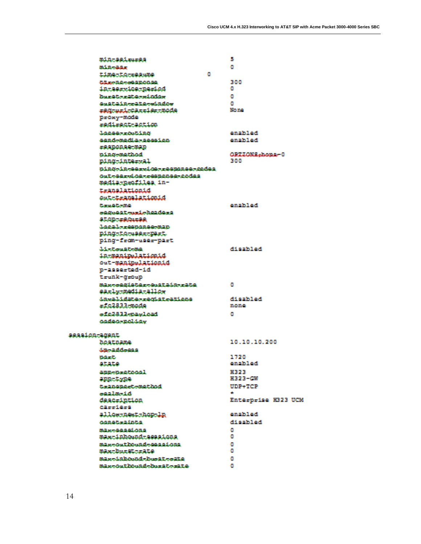|                | min-sei-m-es                                          | в                    |
|----------------|-------------------------------------------------------|----------------------|
|                | Billionidae                                           | л                    |
|                | a.<br>time terresume                                  |                      |
|                | <b>CLEARING CONDITION</b>                             | 300                  |
|                | in service neriod                                     | a.                   |
|                | hardtrrikordinian                                     | o                    |
|                | emetain-rate-window                                   | n                    |
|                | eggeneisClerige:mode                                  | <b>Normal</b>        |
|                | proxy mode                                            |                      |
|                | redirect-sction                                       |                      |
|                | <b>Jonane-rooting</b>                                 | on als Lord          |
|                | condomadia-coccion                                    | onabil od            |
|                | rannonna map                                          |                      |
|                | adno-mathod                                           | OPTIONS.home-0       |
|                | ning-interval                                         | 388                  |
|                | aing inggride reseases redes                          |                      |
|                | cultoddreicdatreasgangateccidas<br>madia-mentiles in- |                      |
|                | translationid                                         |                      |
|                | out-translationid                                     |                      |
|                | Complete mo.                                          | المم الذات بعد       |
|                | segment mediabeless                                   |                      |
|                | <b>SLODUSSCHUSE</b>                                   |                      |
|                | <b>Joes L-remonacement</b>                            |                      |
|                | DingtigteRextDext                                     |                      |
|                | ping-from-user-part                                   |                      |
|                | delections attempt.                                   | ho Moo'r M           |
|                | in-manirelationid                                     |                      |
|                | out-manimulationid                                    |                      |
|                | p-asserted-id                                         |                      |
|                | trunk-qroup                                           |                      |
|                | Maxooddistarosostain-rate<br>early mediatallow        | a                    |
|                | daxalidate-requerations                               | <b>At outside</b>    |
|                | =fc2833=mode                                          | noma                 |
|                | <b>broincro-EE8222</b>                                | л                    |
|                | ക്ഷമക-മദിക്കം                                         |                      |
|                |                                                       |                      |
| session-acent. |                                                       | 10.10.10.200         |
|                | houtmans                                              |                      |
|                | موصوفات بعث<br><b>SMAGES</b>                          | 1720                 |
|                | atate                                                 | enabiled             |
|                | anno testimo l                                        | H323                 |
|                | <b>ARRECTED</b>                                       | H323-CM              |
|                | teangagetempthod                                      | <b>HIMP-ATCEP</b>    |
|                | <b>waalm</b> ed A                                     |                      |
|                | description                                           | Enterprise H323 UCM  |
|                | earnd and                                             |                      |
|                | allow next-hon-lu                                     | on alkitori          |
|                | comptesaints.                                         | <b>Boo Fallon Ph</b> |
|                | ການສະຫະພາບການ ແລະ ທ່ານການ                             | n                    |
|                | max-inhound-sessions                                  | л                    |
|                | maxcouthoundcapasions                                 | a                    |
|                | max-burst-rate.                                       | л                    |
|                | maxedulateddelessatessate                             | л                    |
|                | maxwaynting and discussion at                         | л                    |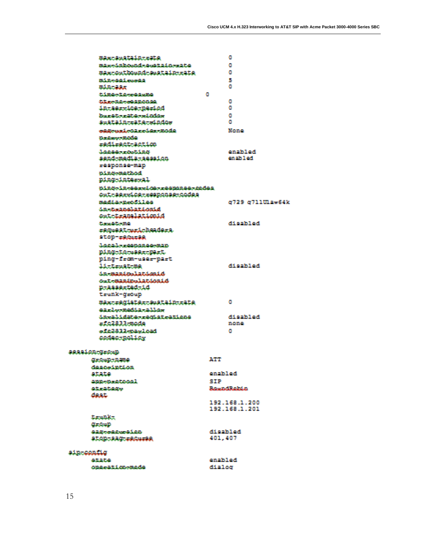|            | max: Sustain: : Ste                                                                                                                                                                                                                  |                | a                 |
|------------|--------------------------------------------------------------------------------------------------------------------------------------------------------------------------------------------------------------------------------------|----------------|-------------------|
|            |                                                                                                                                                                                                                                      |                |                   |
|            | maxoimbonnd-sestain-sate                                                                                                                                                                                                             |                | л                 |
|            | Max-Authornd-Austain-rate                                                                                                                                                                                                            |                | л                 |
|            | minosai coosa                                                                                                                                                                                                                        |                | y.                |
|            | min-sin-                                                                                                                                                                                                                             |                | a.                |
|            | time-te-resume                                                                                                                                                                                                                       | a.             |                   |
|            | <b>CONTRACTOR DE MARINE DE MARINE DE L'AUTORITÉ DE L'AUTORITÉ DE L'AUTORITÉ DE L'AUTORITÉ DE L'AUTORITÉ DE L'AUTORITÉ DE L'AUTORITÉ DE L'AUTORITÉ DE L'AUTORITÉ DE L'AUTORITÉ DE L'AUTORITÉ DE L'AUTORITÉ DE L'AUTORITÉ DE L'AUT</b> |                | a.                |
|            | interniceteried                                                                                                                                                                                                                      |                | a.                |
|            | hurstorikendeder                                                                                                                                                                                                                     |                | a.                |
|            | <u>anatalu-rate-sindos</u>                                                                                                                                                                                                           |                | a.                |
|            | account correla-mode                                                                                                                                                                                                                 |                | <b>Nemo</b>       |
|            | <b>Clear Masseum Stuffeld</b>                                                                                                                                                                                                        |                |                   |
|            | redirect-action                                                                                                                                                                                                                      |                |                   |
|            | <b>Lange-rooting</b>                                                                                                                                                                                                                 |                | bo Idicios        |
|            | aend-madia-aeseion                                                                                                                                                                                                                   |                | he l'Acros        |
|            |                                                                                                                                                                                                                                      |                |                   |
|            | response-map                                                                                                                                                                                                                         |                |                   |
|            | ning-mathod                                                                                                                                                                                                                          |                |                   |
|            | ning-intervil.                                                                                                                                                                                                                       |                |                   |
|            | ains-in-ee-daorresanee-codes                                                                                                                                                                                                         |                |                   |
|            | Out-service-response-codes                                                                                                                                                                                                           |                |                   |
|            | madda-menatilon                                                                                                                                                                                                                      |                | 6729 6711UL2*64k  |
|            | dimenter annualization and of                                                                                                                                                                                                        |                |                   |
|            | ent-translationid                                                                                                                                                                                                                    |                |                   |
|            | Constitution Hall                                                                                                                                                                                                                    |                | المم الدائعة كاك  |
|            | maguestrumicheadema.                                                                                                                                                                                                                 |                |                   |
|            | STOP-ESCOLES                                                                                                                                                                                                                         |                |                   |
|            | decade response map.                                                                                                                                                                                                                 |                |                   |
|            | ning-te-magg-nart                                                                                                                                                                                                                    |                |                   |
|            | ping-from-user-part                                                                                                                                                                                                                  |                |                   |
|            |                                                                                                                                                                                                                                      |                | As Editor M       |
|            | 11-trust ma                                                                                                                                                                                                                          |                |                   |
|            | dependentationist                                                                                                                                                                                                                    |                |                   |
|            | cet maninelationist                                                                                                                                                                                                                  |                |                   |
|            | D-222grt2d-1d                                                                                                                                                                                                                        |                |                   |
|            | trunk-qroup                                                                                                                                                                                                                          |                |                   |
|            | maxtradistatteustaintzata                                                                                                                                                                                                            |                | a.                |
|            | dirlərmənin rallar                                                                                                                                                                                                                   |                |                   |
|            | invalidate-registrations                                                                                                                                                                                                             |                | <b>At said ad</b> |
|            | abom:53.22.24                                                                                                                                                                                                                        |                | mona              |
|            | afe2833-paaload                                                                                                                                                                                                                      |                | a                 |
|            | codect:policy                                                                                                                                                                                                                        |                |                   |
|            |                                                                                                                                                                                                                                      |                |                   |
|            | essaion-group                                                                                                                                                                                                                        |                |                   |
|            | <b>Сличарски</b> е                                                                                                                                                                                                                   | ATT            |                   |
|            | descutation                                                                                                                                                                                                                          |                |                   |
|            | atata                                                                                                                                                                                                                                | onaiki od      |                   |
|            |                                                                                                                                                                                                                                      |                |                   |
|            | ann-n-atnonl                                                                                                                                                                                                                         | SIP            |                   |
|            | at-citata.                                                                                                                                                                                                                           |                | Shaward Broad are |
|            | door.                                                                                                                                                                                                                                |                |                   |
|            |                                                                                                                                                                                                                                      |                | 192.168.1.200     |
|            |                                                                                                                                                                                                                                      |                | 192.168.1.201     |
|            | flaminker                                                                                                                                                                                                                            |                |                   |
|            | <b>Circum</b>                                                                                                                                                                                                                        |                |                   |
|            | <b>GREGORIAN STAR</b>                                                                                                                                                                                                                | di sabi ad     |                   |
|            | aton-sacrescorss                                                                                                                                                                                                                     | 401.407        |                   |
|            |                                                                                                                                                                                                                                      |                |                   |
| sin config |                                                                                                                                                                                                                                      |                |                   |
|            | <b>AND DISTANT</b>                                                                                                                                                                                                                   | <b>bo Maro</b> |                   |
|            | connections made                                                                                                                                                                                                                     | dialog         |                   |
|            |                                                                                                                                                                                                                                      |                |                   |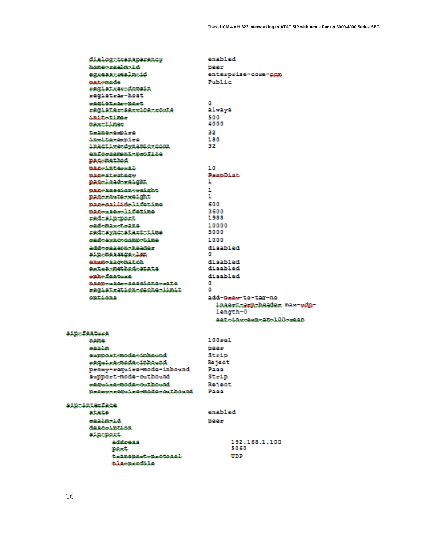| dialog-teamaparancy                                 | bo Muno                                          |
|-----------------------------------------------------|--------------------------------------------------|
| homo-sealm-1d                                       | <b>TMM</b>                                       |
| eggess-realm-id                                     | enterprise-core-com                              |
| suat mode.                                          | <b>Polici film</b>                               |
| registrar-domain                                    |                                                  |
| registra-host                                       |                                                  |
| e2214tr2c-22ct                                      | л                                                |
| register service route                              | allways                                          |
| distillation in the manner                          | saa                                              |
| maxed inco.                                         | 4000                                             |
| does the expense of expert                          | 32                                               |
| dand terms of re-                                   | 180                                              |
| inactive-dynamic-comm                               | 32                                               |
| enforcement-brofile                                 |                                                  |
| <b>Night motional</b>                               |                                                  |
| named nt news1.                                     | 10                                               |
| <b>SEARCH STATISTICS</b>                            | Bearings.                                        |
| nac-load-waicht                                     | Ħ.                                               |
| assessed an eaight                                  | Ш.                                               |
| Digridule weldit                                    | п.                                               |
| assessilideliina                                    | 600                                              |
| assempsedificting                                   | 3600                                             |
| rad-ain-nort                                        | 1988                                             |
| ead-mas-teana                                       | 10000                                            |
| ead-ayac-atact-time                                 | 5000                                             |
| ead-avac-comp-time                                  | 1000                                             |
| addessaanneenhoades.                                | disabiad                                         |
| ain-massame-len                                     | m.                                               |
| essancescomatoh                                     | dischied                                         |
| extra-method-state.                                 | di sabi sd                                       |
| <b>Samuel Books</b>                                 | Attache M                                        |
| 0000cm10cc10001000cm2to<br>eagistestion-cacha-limit | m.<br>O.                                         |
| castil.com                                          |                                                  |
|                                                     | add-base-to-tac-no<br>inaert-kra-header max-ndu- |
|                                                     | length-0                                         |
|                                                     | ast-day-cam-at-lib-same                          |
|                                                     |                                                  |
| ain-feature                                         |                                                  |
| 21217926                                            | 100-01                                           |
| apata 3 an                                          | <b>TMAND</b>                                     |
| an provide and a deducated                          | $9t - 10$                                        |
| reculre mode-inbound                                | <b>Be leet</b>                                   |
| proxy-require-mode-inbound                          | <b>Pane</b>                                      |
| aupport-mode-outbound                               | $3t2$ in                                         |
| eaged engineers at hound                            | <b>Renest</b>                                    |
| Organization re-mode-out bound                      | <b>Thange</b>                                    |
|                                                     |                                                  |
| ain-inte-face                                       |                                                  |
| atata                                               | contribution!                                    |
| samily and all                                      | <b>TMM</b>                                       |
| description                                         |                                                  |
| ain nort                                            |                                                  |
| add. ann                                            | 192.168.1.100                                    |
| <b>EMAGE</b>                                        | 5.0450                                           |
| termonactementssal.<br>dal no mental la             | map                                              |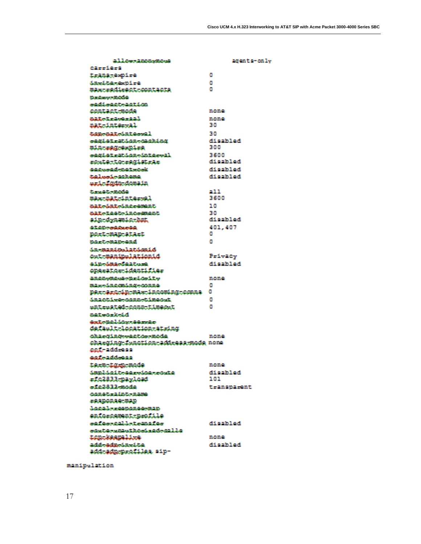| а 11 окологического                             | agemte-colv            |
|-------------------------------------------------|------------------------|
| Cilendari                                       |                        |
| trans-explre                                    | a                      |
| danátanam nire                                  | a                      |
| maxtradirecttoontacta                           | л                      |
| Stanlarsson Birthda                             |                        |
| <u>agdiagotagotion</u>                          |                        |
| contact mode                                    | none                   |
| anatoch rückennel.                              | 11/20143<br>30.        |
| nataintersal                                    |                        |
| tomorriated.                                    | 78                     |
| segiet-ation-grobing                            | امم الذاته لله<br>388  |
| min-regnormire                                  |                        |
| eagistration-interval                           | 3600<br>as anti-aa     |
| route-to-registrar                              |                        |
| age made natureak                               | holidaeth              |
| talendenahana.<br>nada dengan demata            | <b>bofdeefb</b>        |
|                                                 |                        |
| <b>Consideration</b>                            | 31 L<br>34300          |
| max-mat-interval                                |                        |
| astriatriac.cmant                               | 1 O                    |
| material part of presence at<br>sin-dynamic-hut | 741<br>as anti-aa      |
|                                                 |                        |
| <b>GEODOGERSONE</b>                             | 401.407<br>л           |
| port-man-start                                  | o                      |
| <b>Martemanonal</b>                             |                        |
| <u> in-manimalationid</u><br>out manipulationid |                        |
|                                                 | Patroleu<br>di och lod |
| air-dana-faat-me<br>operator-identifier         |                        |
| ananymana-aridoity                              |                        |
| maxednemingenna                                 | 11/20143<br>л          |
| perceraripresa-incoming-conne                   | л                      |
| inactive-connetimeout                           | л                      |
| entrested-conn-timeout                          | л                      |
| <b>harmonical</b>                               |                        |
| Gorke Mail Advertising play                     |                        |
| default-location-string                         |                        |
| charcingcoactocomoda                            | 81/381 O               |
| charging function address mode none             |                        |
| ലല് - ലർർ-മെല                                   |                        |
| <u>oorleaddeann</u>                             |                        |
| term tang mode                                  | nono                   |
| implicit-eerder-conte                           | Atlasiki od            |
| =142833-maylood                                 | 101.                   |
| afe2832-mode                                    | transparent            |
| 000045-1105-0200                                |                        |
| essnonae nap                                    |                        |
| <b>Local - - concepto man-</b>                  |                        |
| enforcement-nrofile                             |                        |
| eafaercalletemafae                              | <b>Bolidco N</b>       |
| easte-smathoeised-ealle                         |                        |
| ten-keenalise                                   | nema                   |
| add-adm-ta-dan                                  | All optivities!        |
| add-adm-m-nfiles sin-                           |                        |
|                                                 |                        |

manipulation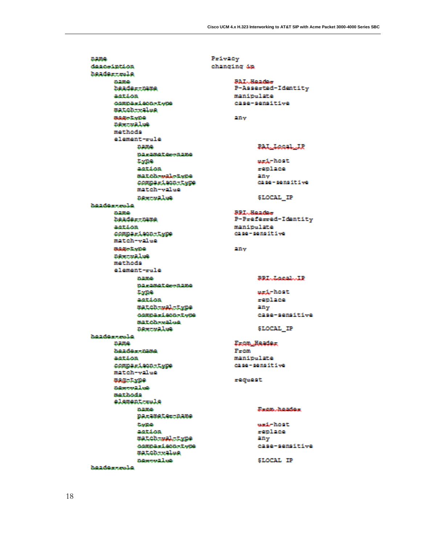Privacy **Dame** descointion beadersmale 0.2000 **DOAGGET DATE** astion *compariectries* matchweine **Bullio Lythe** DRIVENSLOW mathoda element-rule **DATE: Dirimater-aime** 43099 astion match-wal-type comparison-type match-value **BRACKALLAGE** headcarroole. **SACTORIES** beadercuane action. comparison-type match-value Balan Lyane **DRATISLES** mathoda element-rule 4121500-**DRIGHALGO-RENO Lybe** astica. matchtwalttype comparison-type matchessilon **DRACTWALDS** headerscole. **Dame** headers name astica. comparison-type match-value **WASHING Generalise** mathoda element.cole 0.000 parameter.name astion matchtanaledgee comparison-type matchtrales assets also headerrooke

changing 4a **BAL-Header** P-Asserted-Identity manipulate case-sensitive **Ellioy** PAL Local JP and, hout. replace **Silling** case-sensitive SLOCAL IP **BEL-Bander** P-Preferred-Identity manipulate case-sensitive **Silliv BELLINGLIANE** and heat. renlace any case-semaitive \$LOCAL IP Erom Header Prom manipulate case-sensitive request. **Samo Janados** ead-host. replace **Elliy** case-semsitive

SLOCAL IP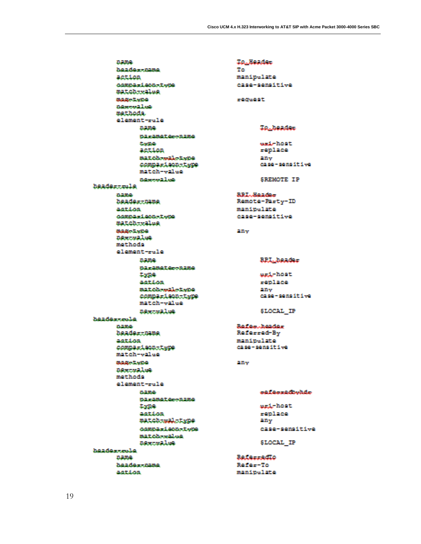0.000 headerrhame action compasieco-type matchweales 0000000000 agreeales mathoda. element-rule 0.000 parameter-name **Gardine** action matchwealedwhea comparison-type match-value assecution **headersmale** 0.100 beadertuane action. compasionerigge matcherales **BARCEMBER DESCRIPTION** mathoda element-rule 0.000 parameter-aame **EVER** action matchessaletype comparison-type match-value **DREEDWALES** haadaxxcala 0.000 *<u><i><u><b>DOAGAFTUIDA</u></u>*</u> action comparisonrigge match-value **BAROLYDO DOM: WALNE** mathoda element-rule 0.000 parameter-name **Lygan** action matchtsaletype compasiecostvoe matchessalon посталов **headerrooke D. MA** beader-name action

To Beader **To** manipulate case-semaitive **ESQUARE** To beader uni-host. replace any case-semaitive SHEMOTE IP **REL. Hondow** Remote-Rarty-ID manipelato case-sensitive 2 May **BPL\_beader** erd, host  $replace$ **Harv** case-semaitive SLOCAL IP Safe-keider Raferred By manipulate case-sensitive any ೲೱೲಀೱ಄ಀೱ಄ agg, hout. replace any case-sensitive SLOCAL IP **SALALIAGEO** Rafer-To manipulate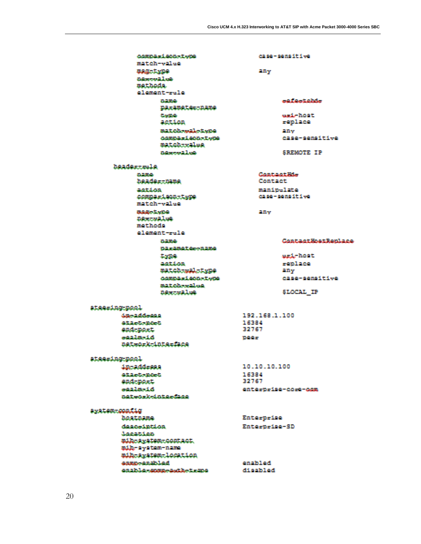| compact constrain               | case-semitive              |
|---------------------------------|----------------------------|
| match-value                     |                            |
| magnitume.                      | <b>Ellips</b>              |
| algebra 21 mil-                 |                            |
| mathoda.                        |                            |
| element-role                    |                            |
| 21.219.04                       | onifestable                |
| <b>DECEMBERCTREMS</b>           |                            |
| <b>Goodblate</b>                | each hout.                 |
| action                          | replace                    |
| match-maketwng                  | 20ac                       |
| comparison-twee                 | case-sensitive             |
| match-rales                     |                            |
| <b>Subseque 2.1 page</b>        | SEEMOTE IP                 |
| <b>hander-rola</b>              |                            |
| 21.2010.                        | float tunet Hills          |
| hoader-nime                     | Contaet.                   |
| cust fixes.                     | manipulate                 |
| comparison-twee                 | C2 90 - 90 59 11 1 vol     |
| match-value                     |                            |
| Balako Lockéh                   | <b>Sillive</b>             |
| mowers:11mm                     |                            |
| mathoda.                        |                            |
| element-role                    |                            |
| 212210043-                      | <b>Control HostBookres</b> |
| 02-20212-000202                 |                            |
| <b>Dartist</b>                  | media listati.             |
| astika.                         | renlace                    |
| match-maletyne                  | <b>CLEAN</b>               |
| compact constrain               | case-sensitive             |
| mat.oh-scalese.                 |                            |
| new maline                      | SLOCAL IP                  |
| ataering pool                   |                            |
| dan a drimaga                   | 192.168.1.100              |
| <b>GERMANIAN</b>                | 16384                      |
| and not:                        | 32767                      |
| essaine i di                    | <b>Billian</b>             |
| network-interface               |                            |
| ateaming mool.                  |                            |
| in addiseas                     | 10.10.10.100               |
| atactement                      | 16384                      |
| end-noxt.                       | 32767                      |
| بالاركب وتراكبهم                | enterbrige-core-com        |
| natwork-interime                |                            |
| avatem-config                   |                            |
| houtnuma.                       | Enterprise                 |
| <b>deem intime</b>              | Enterprise-SD              |
| Account on                      |                            |
| mih-swatem-contact.             |                            |
| mile-system-name                |                            |
| mib-system-location             |                            |
| assass-ancivitad                | <b>contributed</b>         |
| contribution commodation to the | di sabi ad                 |
|                                 |                            |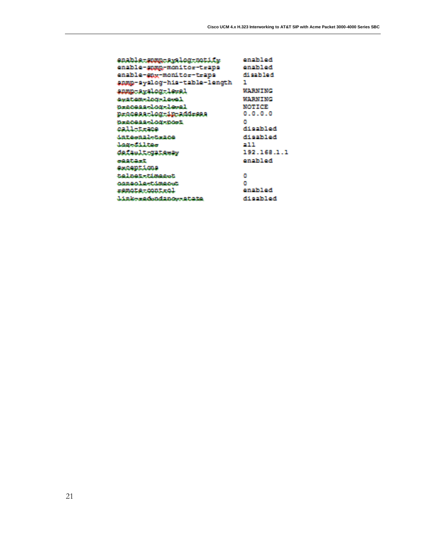| enable summasquiog potity         | onahil od      |
|-----------------------------------|----------------|
| enable-gump-monito=-t=aps         | anablad        |
| enable-gay-monitor-traps          | فعلاظهم نك     |
| annp-syslog-his-table-length      | п              |
| anno avalog leval                 | <b>MARNING</b> |
| exatem log level                  | MARNING.       |
| <u>Dracosa-loq-le-al</u>          | NOTICE         |
| <u>n, acess, log, in add, ees</u> | 0.0.0.0        |
| <b>Dracess-log-port</b>           | л              |
| وعجمت للجه                        | لمعتطعونه      |
| <u>internalogace</u>              | ha Maath       |
| <b>JagoSiltae</b>                 | 91 T           |
| <b>Colault galensy</b>            | 192.168.1.1    |
| of Alban                          | onablod        |
| exceptions                        |                |
| telnetxtimeest                    | a              |
| <u>oongolg-timgost</u>            | a              |
| remoter.com.rol                   | enabled        |
| link-radouding-atime              | di salvi ad    |